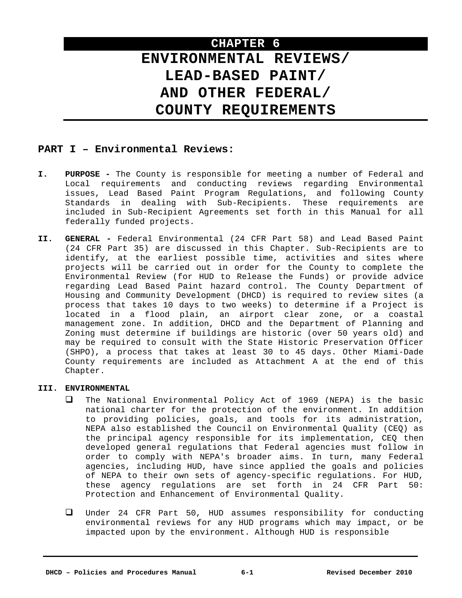# **CHAPTER 6 ENVIRONMENTAL REVIEWS/ LEAD-BASED PAINT/ AND OTHER FEDERAL/ COUNTY REQUIREMENTS**

# **PART I – Environmental Reviews:**

- **I. PURPOSE** The County is responsible for meeting a number of Federal and Local requirements and conducting reviews regarding Environmental issues, Lead Based Paint Program Regulations, and following County Standards in dealing with Sub-Recipients. These requirements are included in Sub-Recipient Agreements set forth in this Manual for all federally funded projects.
- **II. GENERAL** Federal Environmental (24 CFR Part 58) and Lead Based Paint (24 CFR Part 35) are discussed in this Chapter. Sub-Recipients are to identify, at the earliest possible time, activities and sites where projects will be carried out in order for the County to complete the Environmental Review (for HUD to Release the Funds) or provide advice regarding Lead Based Paint hazard control. The County Department of Housing and Community Development (DHCD) is required to review sites (a process that takes 10 days to two weeks) to determine if a Project is located in a flood plain, an airport clear zone, or a coastal management zone. In addition, DHCD and the Department of Planning and Zoning must determine if buildings are historic (over 50 years old) and may be required to consult with the State Historic Preservation Officer (SHPO), a process that takes at least 30 to 45 days. Other Miami-Dade County requirements are included as Attachment A at the end of this Chapter.

# **III. ENVIRONMENTAL**

- $\Box$  The National Environmental Policy Act of 1969 (NEPA) is the basic national charter for the protection of the environment. In addition to providing policies, goals, and tools for its administration, NEPA also established the Council on Environmental Quality (CEQ) as the principal agency responsible for its implementation, CEQ then developed general regulations that Federal agencies must follow in order to comply with NEPA's broader aims. In turn, many Federal agencies, including HUD, have since applied the goals and policies of NEPA to their own sets of agency-specific regulations. For HUD, these agency regulations are set forth in 24 CFR Part 50: Protection and Enhancement of Environmental Quality.
- Under 24 CFR Part 50, HUD assumes responsibility for conducting environmental reviews for any HUD programs which may impact, or be impacted upon by the environment. Although HUD is responsible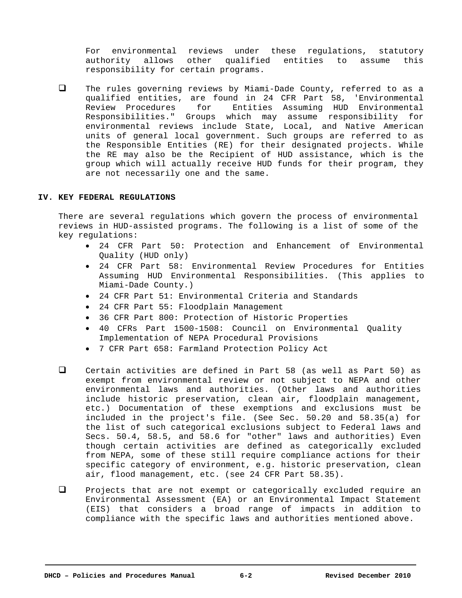For environmental reviews under these regulations, statutory authority allows other qualified entities to assume this responsibility for certain programs.

 $\Box$  The rules governing reviews by Miami-Dade County, referred to as a qualified entities, are found in 24 CFR Part 58, 'Environmental Review Procedures for Entities Assuming HUD Environmental Responsibilities." Groups which may assume responsibility for environmental reviews include State, Local, and Native American units of general local government. Such groups are referred to as the Responsible Entities (RE) for their designated projects. While the RE may also be the Recipient of HUD assistance, which is the group which will actually receive HUD funds for their program, they are not necessarily one and the same.

#### **IV. KEY FEDERAL REGULATIONS**

There are several regulations which govern the process of environmental reviews in HUD-assisted programs. The following is a list of some of the key regulations:

- 24 CFR Part 50: Protection and Enhancement of Environmental Quality (HUD only)
- 24 CFR Part 58: Environmental Review Procedures for Entities Assuming HUD Environmental Responsibilities. (This applies to Miami-Dade County.)
- 24 CFR Part 51: Environmental Criteria and Standards
- 24 CFR Part 55: Floodplain Management
- 36 CFR Part 800: Protection of Historic Properties
- 40 CFRs Part 1500-1508: Council on Environmental Quality Implementation of NEPA Procedural Provisions
- 7 CFR Part 658: Farmland Protection Policy Act
- Certain activities are defined in Part 58 (as well as Part 50) as exempt from environmental review or not subject to NEPA and other environmental laws and authorities. (Other laws and authorities include historic preservation, clean air, floodplain management, etc.) Documentation of these exemptions and exclusions must be included in the project's file. (See Sec. 50.20 and 58.35(a) for the list of such categorical exclusions subject to Federal laws and Secs. 50.4, 58.5, and 58.6 for "other" laws and authorities) Even though certain activities are defined as categorically excluded from NEPA, some of these still require compliance actions for their specific category of environment, e.g. historic preservation, clean air, flood management, etc. (see 24 CFR Part 58.35).
- $\Box$  Projects that are not exempt or categorically excluded require an Environmental Assessment (EA) or an Environmental Impact Statement (EIS) that considers a broad range of impacts in addition to compliance with the specific laws and authorities mentioned above.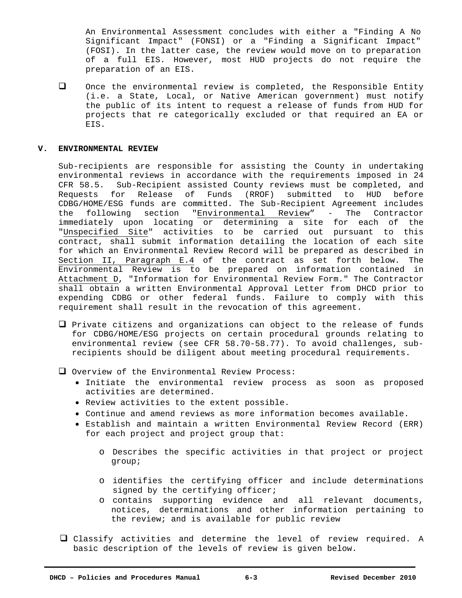An Environmental Assessment concludes with either a "Finding A No Significant Impact" (FONSI) or a "Finding a Significant Impact" (FOSI). In the latter case, the review would move on to preparation of a full EIS. However, most HUD projects do not require the preparation of an EIS.

 $\Box$  Once the environmental review is completed, the Responsible Entity (i.e. a State, Local, or Native American government) must notify the public of its intent to request a release of funds from HUD for projects that re categorically excluded or that required an EA or EIS.

#### **V. ENVIRONMENTAL REVIEW**

Sub-recipients are responsible for assisting the County in undertaking environmental reviews in accordance with the requirements imposed in 24 CFR 58.5. Sub-Recipient assisted County reviews must be completed, and Requests for Release of Funds (RROF) submitted to HUD before CDBG/HOME/ESG funds are committed. The Sub-Recipient Agreement includes the following section "Environmental Review" - The Contractor immediately upon locating or determining a site for each of the "Unspecified Site" activities to be carried out pursuant to this contract, shall submit information detailing the location of each site for which an Environmental Review Record will be prepared as described in Section II, Paragraph E.4 of the contract as set forth below. The Environmental Review is to be prepared on information contained in Attachment D, "Information for Environmental Review Form." The Contractor shall obtain a written Environmental Approval Letter from DHCD prior to expending CDBG or other federal funds. Failure to comply with this requirement shall result in the revocation of this agreement.

- $\Box$  Private citizens and organizations can object to the release of funds for CDBG/HOME/ESG projects on certain procedural grounds relating to environmental review (see CFR 58.70-58.77). To avoid challenges, subrecipients should be diligent about meeting procedural requirements.
- Overview of the Environmental Review Process:
	- Initiate the environmental review process as soon as proposed activities are determined.
	- Review activities to the extent possible.
	- Continue and amend reviews as more information becomes available.
	- Establish and maintain a written Environmental Review Record (ERR) for each project and project group that:
		- o Describes the specific activities in that project or project group;
		- o identifies the certifying officer and include determinations signed by the certifying officer;
		- o contains supporting evidence and all relevant documents, notices, determinations and other information pertaining to the review; and is available for public review
- Classify activities and determine the level of review required. A basic description of the levels of review is given below.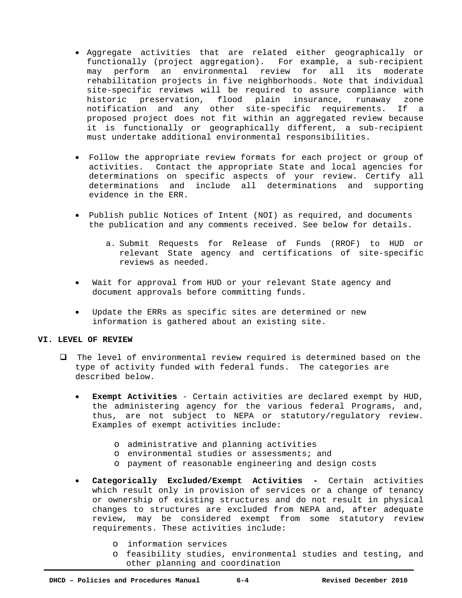- Aggregate activities that are related either geographically or functionally (project aggregation). For example, a sub-recipient may perform an environmental review for all its moderate rehabilitation projects in five neighborhoods. Note that individual site-specific reviews will be required to assure compliance with historic preservation, flood plain insurance, runaway zone notification and any other site-specific requirements. If a proposed project does not fit within an aggregated review because it is functionally or geographically different, a sub-recipient must undertake additional environmental responsibilities.
- Follow the appropriate review formats for each project or group of activities. Contact the appropriate State and local agencies for determinations on specific aspects of your review. Certify all determinations and include all determinations and supporting evidence in the ERR.
- Publish public Notices of Intent (NOI) as required, and documents the publication and any comments received. See below for details.
	- a. Submit Requests for Release of Funds (RROF) to HUD or relevant State agency and certifications of site-specific reviews as needed.
- Wait for approval from HUD or your relevant State agency and document approvals before committing funds.
- Update the ERRs as specific sites are determined or new information is gathered about an existing site.

## **VI. LEVEL OF REVIEW**

- $\Box$  The level of environmental review required is determined based on the type of activity funded with federal funds. The categories are described below.
	- **Exempt Activities** Certain activities are declared exempt by HUD, the administering agency for the various federal Programs, and, thus, are not subject to NEPA or statutory/regulatory review. Examples of exempt activities include:
		- o administrative and planning activities
		- o environmental studies or assessments; and
		- o payment of reasonable engineering and design costs
	- **Categorically Excluded/Exempt Activities** Certain activities which result only in provision of services or a change of tenancy or ownership of existing structures and do not result in physical changes to structures are excluded from NEPA and, after adequate review, may be considered exempt from some statutory review requirements. These activities include:
		- o information services
		- o feasibility studies, environmental studies and testing, and other planning and coordination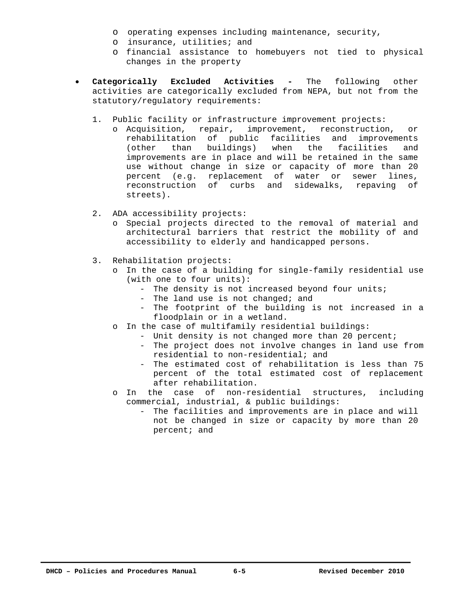- o operating expenses including maintenance, security,
- o insurance, utilities; and
- o financial assistance to homebuyers not tied to physical changes in the property
- **Categorically Excluded Activities -** The following other activities are categorically excluded from NEPA, but not from the statutory/regulatory requirements:
	- 1. Public facility or infrastructure improvement projects:
		- o Acquisition, repair, improvement, reconstruction, or rehabilitation of public facilities and improvements<br>(other than buildings) when the facilities and (other than buildings) when the facilities and improvements are in place and will be retained in the same use without change in size or capacity of more than 20 percent (e.g. replacement of water or sewer lines, reconstruction of curbs and sidewalks, repaving of streets).
	- 2. ADA accessibility projects:
		- o Special projects directed to the removal of material and architectural barriers that restrict the mobility of and accessibility to elderly and handicapped persons.
	- 3. Rehabilitation projects:
		- o In the case of a building for single-family residential use (with one to four units):
			- The density is not increased beyond four units;
			- The land use is not changed; and
			- The footprint of the building is not increased in a floodplain or in a wetland.
		- o In the case of multifamily residential buildings:
			- Unit density is not changed more than 20 percent;
			- The project does not involve changes in land use from residential to non-residential; and
			- The estimated cost of rehabilitation is less than 75 percent of the total estimated cost of replacement after rehabilitation.
		- o In the case of non-residential structures, including commercial, industrial, & public buildings:
			- The facilities and improvements are in place and will not be changed in size or capacity by more than 20 percent; and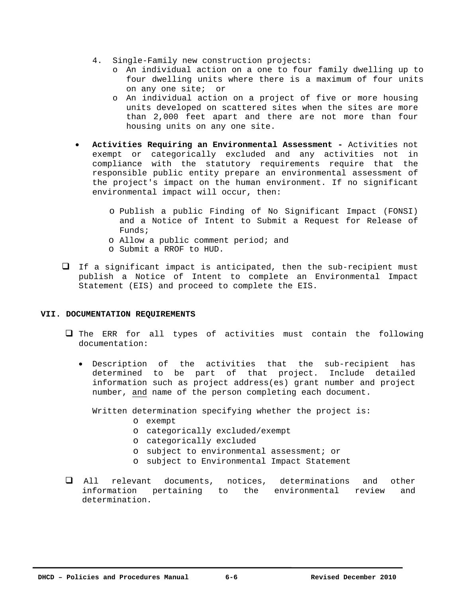- 4. Single-Family new construction projects:
	- o An individual action on a one to four family dwelling up to four dwelling units where there is a maximum of four units on any one site; or
	- o An individual action on a project of five or more housing units developed on scattered sites when the sites are more than 2,000 feet apart and there are not more than four housing units on any one site.
- **Activities Requiring an Environmental Assessment** Activities not exempt or categorically excluded and any activities not in compliance with the statutory requirements require that the responsible public entity prepare an environmental assessment of the project's impact on the human environment. If no significant environmental impact will occur, then:
	- o Publish a public Finding of No Significant Impact (FONSI) and a Notice of Intent to Submit a Request for Release of Funds;
	- o Allow a public comment period; and
	- o Submit a RROF to HUD.
- $\Box$  If a significant impact is anticipated, then the sub-recipient must publish a Notice of Intent to complete an Environmental Impact Statement (EIS) and proceed to complete the EIS.

# **VII. DOCUMENTATION REQUIREMENTS**

- $\Box$  The ERR for all types of activities must contain the following documentation:
	- Description of the activities that the sub-recipient has determined to be part of that project. Include detailed information such as project address(es) grant number and project number, and name of the person completing each document.

Written determination specifying whether the project is:

- o exempt
- o categorically excluded/exempt
- o categorically excluded
- o subject to environmental assessment; or
- o subject to Environmental Impact Statement
- All relevant documents, notices, determinations and other information pertaining to the environmental review and determination.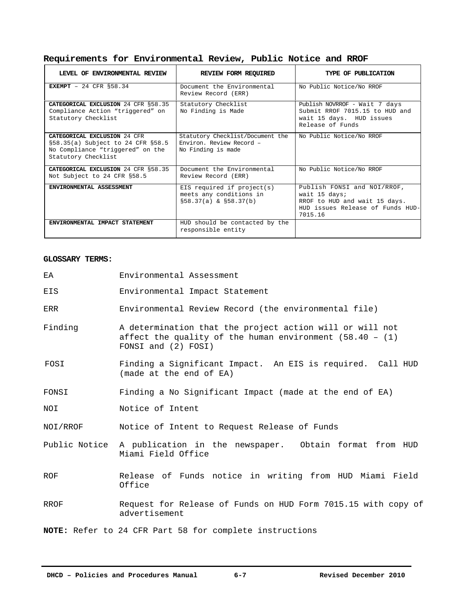| Requirements for Environmental Review, Public Notice and RROF |  |
|---------------------------------------------------------------|--|
|---------------------------------------------------------------|--|

| LEVEL OF ENVIRONMENTAL REVIEW                                                                                                       | REVIEW FORM REQUIRED                                                               | TYPE OF PUBLICATION                                                                                                          |
|-------------------------------------------------------------------------------------------------------------------------------------|------------------------------------------------------------------------------------|------------------------------------------------------------------------------------------------------------------------------|
| EXEMPT - 24 CFR $$58.34$                                                                                                            | Document the Environmental<br>Review Record (ERR)                                  | No Public Notice/No RROF                                                                                                     |
| CATEGORICAL EXCLUSION 24 CFR \$58.35<br>Compliance Action "triggered" on<br>Statutory Checklist                                     | Statutory Checklist<br>No Finding is Made                                          | Publish NOVRROF - Wait 7 days<br>Submit RROF 7015.15 to HUD and<br>wait 15 days. HUD issues<br>Release of Funds              |
| <b>CATEGORICAL EXCLUSION 24 CFR</b><br>§58.35(a) Subject to 24 CFR §58.5<br>No Compliance "triggered" on the<br>Statutory Checklist | Statutory Checklist/Document the<br>Environ, Review Record -<br>No Finding is made | No Public Notice/No RROF                                                                                                     |
| CATEGORICAL EXCLUSION 24 CFR § 58.35<br>Not Subject to 24 CFR §58.5                                                                 | Document the Environmental<br>Review Record (ERR)                                  | No Public Notice/No RROF                                                                                                     |
| ENVIRONMENTAL ASSESSMENT                                                                                                            | EIS required if $project(s)$<br>meets any conditions in<br>\$58.37(a) & \$58.37(b) | Publish FONSI and NOI/RROF,<br>wait 15 days;<br>RROF to HUD and wait 15 days.<br>HUD issues Release of Funds HUD-<br>7015.16 |
| ENVIRONMENTAL IMPACT STATEMENT                                                                                                      | HUD should be contacted by the<br>responsible entity                               |                                                                                                                              |

# **GLOSSARY TERMS:**

| EA         | Environmental Assessment                                                                                                                       |  |
|------------|------------------------------------------------------------------------------------------------------------------------------------------------|--|
| EIS        | Environmental Impact Statement                                                                                                                 |  |
| ERR        | Environmental Review Record (the environmental file)                                                                                           |  |
| Finding    | A determination that the project action will or will not<br>affect the quality of the human environment $(58.40 - (1))$<br>FONSI and (2) FOSI) |  |
| FOSI       | Finding a Significant Impact. An EIS is required. Call HUD<br>(made at the end of EA)                                                          |  |
| FONSI      | Finding a No Significant Impact (made at the end of EA)                                                                                        |  |
| NOI        | Notice of Intent                                                                                                                               |  |
| NOI/RROF   | Notice of Intent to Request Release of Funds                                                                                                   |  |
|            | Public Notice A publication in the newspaper. Obtain format from HUD<br>Miami Field Office                                                     |  |
| <b>ROF</b> | Release of Funds notice in writing from HUD Miami Field<br>Office                                                                              |  |
| RROF       | Request for Release of Funds on HUD Form 7015.15 with copy of<br>advertisement                                                                 |  |
|            | NOTE: Refer to 24 CFR Part 58 for complete instructions                                                                                        |  |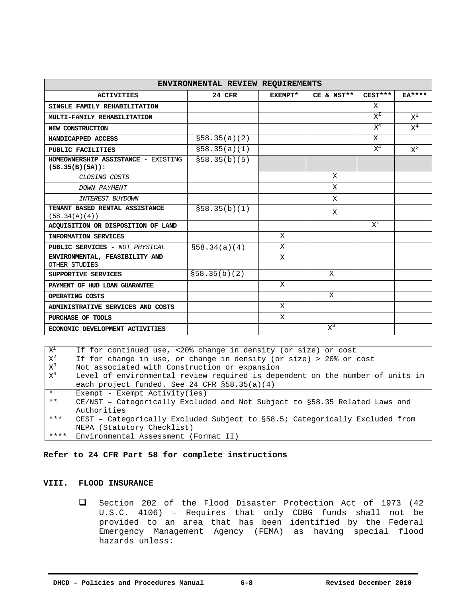| ENVIRONMENTAL REVIEW REQUIREMENTS                         |               |         |            |             |                |
|-----------------------------------------------------------|---------------|---------|------------|-------------|----------------|
| <b>ACTIVITIES</b>                                         | 24 CFR        | EXEMPT* | CE & NST** | $CEST***$   | $EA***$        |
| SINGLE FAMILY REHABILITATION                              |               |         |            | X           |                |
| MULTI-FAMILY REHABILITATION                               |               |         |            | $X^I$       | $\rm\,X}^2$    |
| NEW CONSTRUCTION                                          |               |         |            | $\rm\,X}^4$ | $\mathrm{x}^4$ |
| HANDICAPPED ACCESS                                        | \$58.35(a)(2) |         |            | X           |                |
| PUBLIC FACILITIES                                         | \$58.35(a)(1) |         |            | $X^4$       | $\rm\,X}^2$    |
| HOMEOWNERSHIP ASSISTANCE - EXISTING<br>$(58.35(B)(5A))$ : | \$58.35(b)(5) |         |            |             |                |
| CLOSING COSTS                                             |               |         | X          |             |                |
| <b>DOWN PAYMENT</b>                                       |               |         | X          |             |                |
| <b>INTEREST BUYDOWN</b>                                   |               |         | X          |             |                |
| TENANT BASED RENTAL ASSISTANCE<br>(58.34(A)(4))           | \$58.35(b)(1) |         | Χ          |             |                |
| ACQUISITION OR DISPOSITION OF LAND                        |               |         |            | $X^I$       |                |
| INFORMATION SERVICES                                      |               | X       |            |             |                |
| PUBLIC SERVICES - NOT PHYSICAL                            | \$58.34(a)(4) | X       |            |             |                |
| ENVIRONMENTAL, FEASIBILITY AND<br>OTHER STUDIES           |               | X       |            |             |                |
| SUPPORTIVE SERVICES                                       | \$58.35(b)(2) |         | X          |             |                |
| PAYMENT OF HUD LOAN GUARANTEE                             |               | X       |            |             |                |
| OPERATING COSTS                                           |               |         | X          |             |                |
| ADMINISTRATIVE SERVICES AND COSTS                         |               | X       |            |             |                |
| PURCHASE OF TOOLS                                         |               | X       |            |             |                |
| ECONOMIC DEVELOPMENT ACTIVITIES                           |               |         | $X^3$      |             |                |

 $X^1$  If for continued use, <20% change in density (or size) or cost  $X^2$  If for change in use, or change in density (or size) > 20% or cost  $x^3$  Not associated with Construction or expansion  $x^4$  Level of environmental review required is dependent on the number of units in each project funded. See 24 CFR §58.35(a)(4) \* Exempt - Exempt Activity(ies) \*\* CE/NST – Categorically Excluded and Not Subject to §58.35 Related Laws and Authorities \*\*\* CEST – Categorically Excluded Subject to §58.5; Categorically Excluded from NEPA (Statutory Checklist) \*\*\*\* Environmental Assessment (Format II)

**Refer to 24 CFR Part 58 for complete instructions** 

#### **VIII. FLOOD INSURANCE**

 $\Box$  Section 202 of the Flood Disaster Protection Act of 1973 (42 U.S.C. 4106) – Requires that only CDBG funds shall not be provided to an area that has been identified by the Federal Emergency Management Agency (FEMA) as having special flood hazards unless: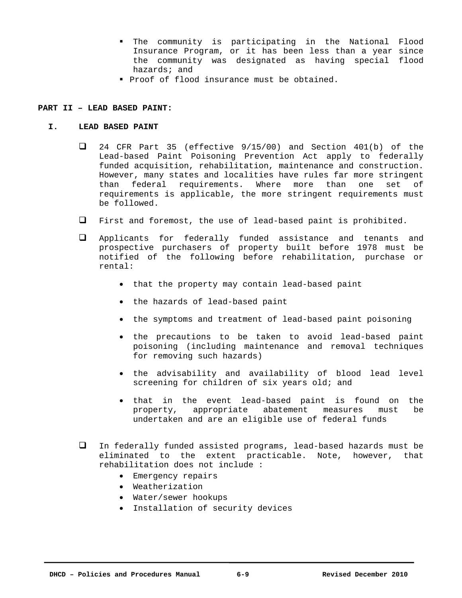- The community is participating in the National Flood Insurance Program, or it has been less than a year since the community was designated as having special flood hazards; and
- **Proof of flood insurance must be obtained.**

## **PART II – LEAD BASED PAINT:**

## **I. LEAD BASED PAINT**

- $\Box$  24 CFR Part 35 (effective 9/15/00) and Section 401(b) of the Lead-based Paint Poisoning Prevention Act apply to federally funded acquisition, rehabilitation, maintenance and construction. However, many states and localities have rules far more stringent than federal requirements. Where more than one set of requirements is applicable, the more stringent requirements must be followed.
- $\Box$  First and foremost, the use of lead-based paint is prohibited.
- Applicants for federally funded assistance and tenants and prospective purchasers of property built before 1978 must be notified of the following before rehabilitation, purchase or rental:
	- that the property may contain lead-based paint
	- the hazards of lead-based paint
	- the symptoms and treatment of lead-based paint poisoning
	- the precautions to be taken to avoid lead-based paint poisoning (including maintenance and removal techniques for removing such hazards)
	- the advisability and availability of blood lead level screening for children of six years old; and
	- that in the event lead-based paint is found on the property, appropriate abatement measures must be undertaken and are an eligible use of federal funds
- In federally funded assisted programs, lead-based hazards must be eliminated to the extent practicable. Note, however, that rehabilitation does not include :
	- Emergency repairs
	- Weatherization
	- Water/sewer hookups
	- Installation of security devices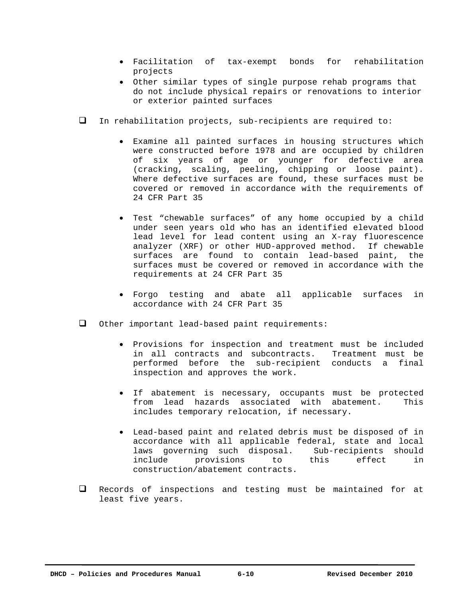- Facilitation of tax-exempt bonds for rehabilitation projects
- Other similar types of single purpose rehab programs that do not include physical repairs or renovations to interior or exterior painted surfaces
- In rehabilitation projects, sub-recipients are required to:
	- Examine all painted surfaces in housing structures which were constructed before 1978 and are occupied by children of six years of age or younger for defective area (cracking, scaling, peeling, chipping or loose paint). Where defective surfaces are found, these surfaces must be covered or removed in accordance with the requirements of 24 CFR Part 35
	- Test "chewable surfaces" of any home occupied by a child under seen years old who has an identified elevated blood lead level for lead content using an X-ray fluorescence analyzer (XRF) or other HUD-approved method. If chewable surfaces are found to contain lead-based paint, the surfaces must be covered or removed in accordance with the requirements at 24 CFR Part 35
	- Forgo testing and abate all applicable surfaces in accordance with 24 CFR Part 35
- Other important lead-based paint requirements:
	- Provisions for inspection and treatment must be included in all contracts and subcontracts. Treatment must be performed before the sub-recipient conducts a final inspection and approves the work.
	- If abatement is necessary, occupants must be protected from lead hazards associated with abatement. This includes temporary relocation, if necessary.
	- Lead-based paint and related debris must be disposed of in accordance with all applicable federal, state and local laws governing such disposal. Sub-recipients should include provisions to this effect in construction/abatement contracts.
- $\Box$  Records of inspections and testing must be maintained for at least five years.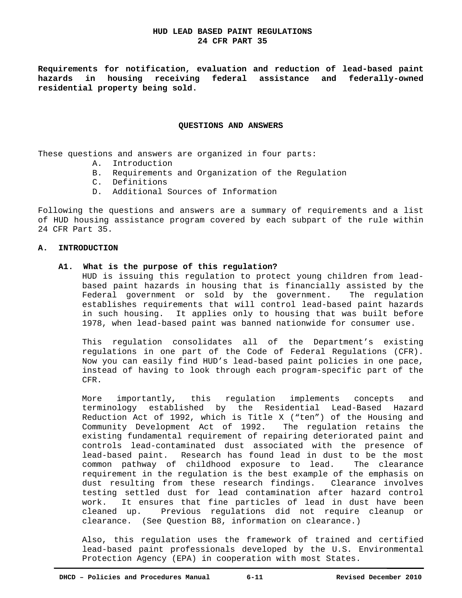## **HUD LEAD BASED PAINT REGULATIONS 24 CFR PART 35**

**Requirements for notification, evaluation and reduction of lead-based paint hazards in housing receiving federal assistance and federally-owned residential property being sold.** 

#### **QUESTIONS AND ANSWERS**

These questions and answers are organized in four parts:

- A. Introduction
- B. Requirements and Organization of the Regulation
- C. Definitions
- D. Additional Sources of Information

Following the questions and answers are a summary of requirements and a list of HUD housing assistance program covered by each subpart of the rule within 24 CFR Part 35.

#### **A. INTRODUCTION**

#### **A1. What is the purpose of this regulation?**

HUD is issuing this regulation to protect young children from leadbased paint hazards in housing that is financially assisted by the Federal government or sold by the government. The regulation establishes requirements that will control lead-based paint hazards in such housing. It applies only to housing that was built before 1978, when lead-based paint was banned nationwide for consumer use.

This regulation consolidates all of the Department's existing regulations in one part of the Code of Federal Regulations (CFR). Now you can easily find HUD's lead-based paint policies in one pace, instead of having to look through each program-specific part of the CFR.

 More importantly, this regulation implements concepts and terminology established by the Residential Lead-Based Hazard Reduction Act of 1992, which is Title X ("ten") of the Housing and Community Development Act of 1992. The regulation retains the existing fundamental requirement of repairing deteriorated paint and controls lead-contaminated dust associated with the presence of lead-based paint. Research has found lead in dust to be the most common pathway of childhood exposure to lead. The clearance requirement in the regulation is the best example of the emphasis on dust resulting from these research findings. Clearance involves testing settled dust for lead contamination after hazard control work. It ensures that fine particles of lead in dust have been cleaned up. Previous regulations did not require cleanup or clearance. (See Question B8, information on clearance.)

 Also, this regulation uses the framework of trained and certified lead-based paint professionals developed by the U.S. Environmental Protection Agency (EPA) in cooperation with most States.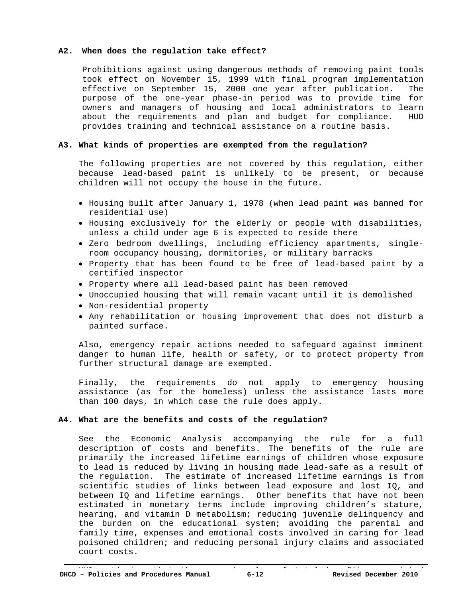#### **A2. When does the regulation take effect?**

Prohibitions against using dangerous methods of removing paint tools took effect on November 15, 1999 with final program implementation effective on September 15, 2000 one year after publication. The purpose of the one-year phase-in period was to provide time for owners and managers of housing and local administrators to learn about the requirements and plan and budget for compliance. HUD provides training and technical assistance on a routine basis.

## **A3. What kinds of properties are exempted from the regulation?**

 The following properties are not covered by this regulation, either because lead-based paint is unlikely to be present, or because children will not occupy the house in the future.

- Housing built after January 1, 1978 (when lead paint was banned for residential use)
- Housing exclusively for the elderly or people with disabilities, unless a child under age 6 is expected to reside there
- Zero bedroom dwellings, including efficiency apartments, singleroom occupancy housing, dormitories, or military barracks
- Property that has been found to be free of lead-based paint by a certified inspector
- Property where all lead-based paint has been removed
- Unoccupied housing that will remain vacant until it is demolished
- Non-residential property
- Any rehabilitation or housing improvement that does not disturb a painted surface.

 Also, emergency repair actions needed to safeguard against imminent danger to human life, health or safety, or to protect property from further structural damage are exempted.

 Finally, the requirements do not apply to emergency housing assistance (as for the homeless) unless the assistance lasts more than 100 days, in which case the rule does apply.

## **A4. What are the benefits and costs of the regulation?**

 See the Economic Analysis accompanying the rule for a full description of costs and benefits. The benefits of the rule are primarily the increased lifetime earnings of children whose exposure to lead is reduced by living in housing made lead-safe as a result of the regulation. The estimate of increased lifetime earnings is from scientific studies of links between lead exposure and lost IQ, and between IQ and lifetime earnings. Other benefits that have not been estimated in monetary terms include improving children's stature, hearing, and vitamin D metabolism; reducing juvenile delinquency and the burden on the educational system; avoiding the parental and family time, expenses and emotional costs involved in caring for lead poisoned children; and reducing personal injury claims and associated court costs.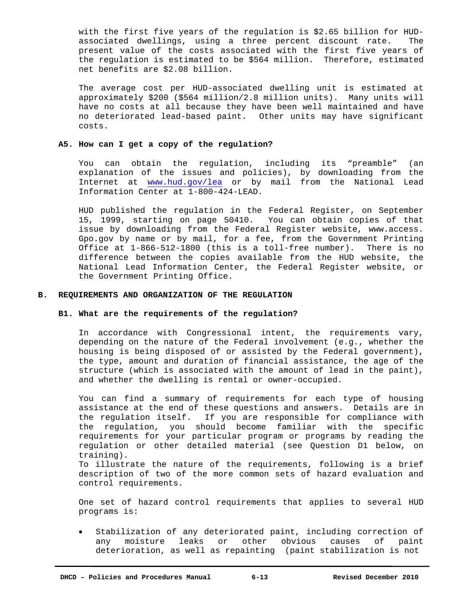with the first five years of the regulation is \$2.65 billion for HUDassociated dwellings, using a three percent discount rate. The present value of the costs associated with the first five years of the regulation is estimated to be \$564 million. Therefore, estimated net benefits are \$2.08 billion.

 The average cost per HUD-associated dwelling unit is estimated at approximately \$200 (\$564 million/2.8 million units). Many units will have no costs at all because they have been well maintained and have no deteriorated lead-based paint. Other units may have significant costs.

#### **A5. How can I get a copy of the regulation?**

 You can obtain the regulation, including its "preamble" (an explanation of the issues and policies), by downloading from the Internet at www.hud.gov/lea or by mail from the National Lead Information Center at 1-800-424-LEAD.

 HUD published the regulation in the Federal Register, on September 15, 1999, starting on page 50410. You can obtain copies of that issue by downloading from the Federal Register website, www.access. Gpo.gov by name or by mail, for a fee, from the Government Printing Office at 1-866-512-1800 (this is a toll-free number). There is no difference between the copies available from the HUD website, the National Lead Information Center, the Federal Register website, or the Government Printing Office.

#### **B. REQUIREMENTS AND ORGANIZATION OF THE REGULATION**

#### **B1. What are the requirements of the regulation?**

 In accordance with Congressional intent, the requirements vary, depending on the nature of the Federal involvement (e.g., whether the housing is being disposed of or assisted by the Federal government), the type, amount and duration of financial assistance, the age of the structure (which is associated with the amount of lead in the paint), and whether the dwelling is rental or owner-occupied.

 You can find a summary of requirements for each type of housing assistance at the end of these questions and answers. Details are in the regulation itself. If you are responsible for compliance with the regulation, you should become familiar with the specific requirements for your particular program or programs by reading the regulation or other detailed material (see Question D1 below, on training).

 To illustrate the nature of the requirements, following is a brief description of two of the more common sets of hazard evaluation and control requirements.

 One set of hazard control requirements that applies to several HUD programs is:

 Stabilization of any deteriorated paint, including correction of any moisture leaks or other obvious causes of paint deterioration, as well as repainting (paint stabilization is not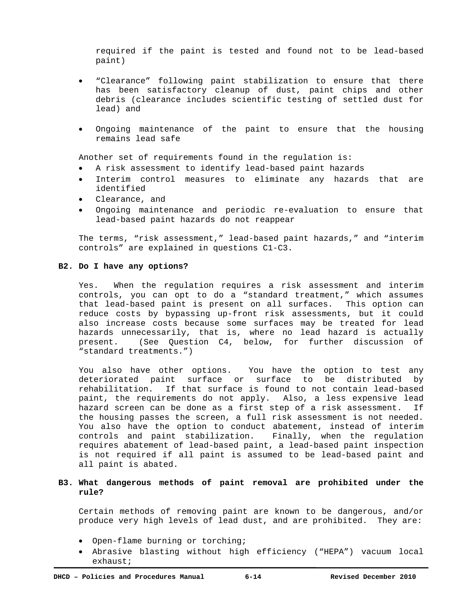required if the paint is tested and found not to be lead-based paint)

- "Clearance" following paint stabilization to ensure that there has been satisfactory cleanup of dust, paint chips and other debris (clearance includes scientific testing of settled dust for lead) and
- Ongoing maintenance of the paint to ensure that the housing remains lead safe

Another set of requirements found in the regulation is:

- A risk assessment to identify lead-based paint hazards
- Interim control measures to eliminate any hazards that are identified
- Clearance, and
- Ongoing maintenance and periodic re-evaluation to ensure that lead-based paint hazards do not reappear

 The terms, "risk assessment," lead-based paint hazards," and "interim controls" are explained in questions C1-C3.

#### **B2. Do I have any options?**

 Yes. When the regulation requires a risk assessment and interim controls, you can opt to do a "standard treatment," which assumes that lead-based paint is present on all surfaces. This option can reduce costs by bypassing up-front risk assessments, but it could also increase costs because some surfaces may be treated for lead hazards unnecessarily, that is, where no lead hazard is actually present. (See Question C4, below, for further discussion of "standard treatments.")

 You also have other options. You have the option to test any deteriorated paint surface or surface to be distributed by rehabilitation. If that surface is found to not contain lead-based paint, the requirements do not apply. Also, a less expensive lead hazard screen can be done as a first step of a risk assessment. If the housing passes the screen, a full risk assessment is not needed. You also have the option to conduct abatement, instead of interim controls and paint stabilization. Finally, when the regulation requires abatement of lead-based paint, a lead-based paint inspection is not required if all paint is assumed to be lead-based paint and all paint is abated.

## **B3. What dangerous methods of paint removal are prohibited under the rule?**

Certain methods of removing paint are known to be dangerous, and/or produce very high levels of lead dust, and are prohibited. They are:

- Open-flame burning or torching;
- Abrasive blasting without high efficiency ("HEPA") vacuum local exhaust;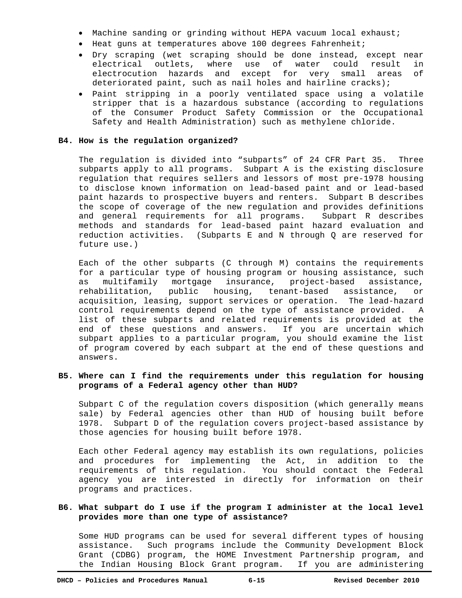- Machine sanding or grinding without HEPA vacuum local exhaust;
- Heat guns at temperatures above 100 degrees Fahrenheit;
- Dry scraping (wet scraping should be done instead, except near electrical outlets, where use of water could result in electrocution hazards and except for very small areas of deteriorated paint, such as nail holes and hairline cracks);
- Paint stripping in a poorly ventilated space using a volatile stripper that is a hazardous substance (according to regulations of the Consumer Product Safety Commission or the Occupational Safety and Health Administration) such as methylene chloride.

#### **B4. How is the regulation organized?**

 The regulation is divided into "subparts" of 24 CFR Part 35. Three subparts apply to all programs. Subpart A is the existing disclosure regulation that requires sellers and lessors of most pre-1978 housing to disclose known information on lead-based paint and or lead-based paint hazards to prospective buyers and renters. Subpart B describes the scope of coverage of the new regulation and provides definitions and general requirements for all programs. Subpart R describes methods and standards for lead-based paint hazard evaluation and reduction activities. (Subparts E and N through Q are reserved for future use.)

 Each of the other subparts (C through M) contains the requirements for a particular type of housing program or housing assistance, such as multifamily mortgage insurance, project-based assistance, rehabilitation, public housing, tenant-based assistance, or acquisition, leasing, support services or operation. The lead-hazard control requirements depend on the type of assistance provided. A list of these subparts and related requirements is provided at the end of these questions and answers. If you are uncertain which subpart applies to a particular program, you should examine the list of program covered by each subpart at the end of these questions and answers.

# **B5. Where can I find the requirements under this regulation for housing programs of a Federal agency other than HUD?**

 Subpart C of the regulation covers disposition (which generally means sale) by Federal agencies other than HUD of housing built before 1978. Subpart D of the regulation covers project-based assistance by those agencies for housing built before 1978.

 Each other Federal agency may establish its own regulations, policies and procedures for implementing the Act, in addition to the requirements of this regulation. You should contact the Federal agency you are interested in directly for information on their programs and practices.

# **B6. What subpart do I use if the program I administer at the local level provides more than one type of assistance?**

 Some HUD programs can be used for several different types of housing assistance. Such programs include the Community Development Block Grant (CDBG) program, the HOME Investment Partnership program, and the Indian Housing Block Grant program. If you are administering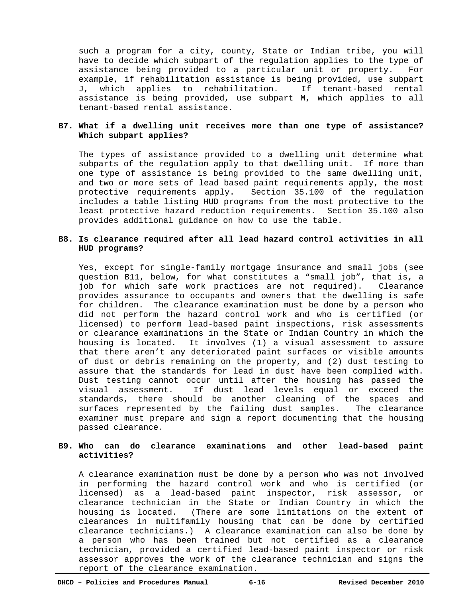such a program for a city, county, State or Indian tribe, you will have to decide which subpart of the regulation applies to the type of assistance being provided to a particular unit or property. For example, if rehabilitation assistance is being provided, use subpart J, which applies to rehabilitation. If tenant-based rental assistance is being provided, use subpart M, which applies to all tenant-based rental assistance.

## **B7. What if a dwelling unit receives more than one type of assistance? Which subpart applies?**

 The types of assistance provided to a dwelling unit determine what subparts of the regulation apply to that dwelling unit. If more than one type of assistance is being provided to the same dwelling unit, and two or more sets of lead based paint requirements apply, the most protective requirements apply. Section 35.100 of the regulation includes a table listing HUD programs from the most protective to the least protective hazard reduction requirements. Section 35.100 also provides additional guidance on how to use the table.

## **B8. Is clearance required after all lead hazard control activities in all HUD programs?**

 Yes, except for single-family mortgage insurance and small jobs (see question B11, below, for what constitutes a "small job", that is, a job for which safe work practices are not required). Clearance provides assurance to occupants and owners that the dwelling is safe for children. The clearance examination must be done by a person who did not perform the hazard control work and who is certified (or licensed) to perform lead-based paint inspections, risk assessments or clearance examinations in the State or Indian Country in which the housing is located. It involves (1) a visual assessment to assure that there aren't any deteriorated paint surfaces or visible amounts of dust or debris remaining on the property, and (2) dust testing to assure that the standards for lead in dust have been complied with. Dust testing cannot occur until after the housing has passed the visual assessment. If dust lead levels equal or exceed the standards, there should be another cleaning of the spaces and surfaces represented by the failing dust samples. The clearance examiner must prepare and sign a report documenting that the housing passed clearance.

# **B9. Who can do clearance examinations and other lead-based paint activities?**

 A clearance examination must be done by a person who was not involved in performing the hazard control work and who is certified (or licensed) as a lead-based paint inspector, risk assessor, or clearance technician in the State or Indian Country in which the housing is located. (There are some limitations on the extent of clearances in multifamily housing that can be done by certified clearance technicians.) A clearance examination can also be done by a person who has been trained but not certified as a clearance technician, provided a certified lead-based paint inspector or risk assessor approves the work of the clearance technician and signs the report of the clearance examination.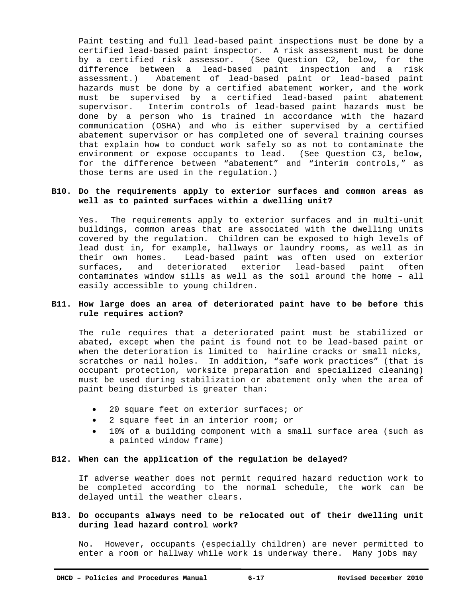Paint testing and full lead-based paint inspections must be done by a certified lead-based paint inspector. A risk assessment must be done by a certified risk assessor. (See Question C2, below, for the difference between a lead-based paint inspection and a risk assessment.) Abatement of lead-based paint or lead-based paint hazards must be done by a certified abatement worker, and the work must be supervised by a certified lead-based paint abatement supervisor. Interim controls of lead-based paint hazards must be done by a person who is trained in accordance with the hazard communication (OSHA) and who is either supervised by a certified abatement supervisor or has completed one of several training courses that explain how to conduct work safely so as not to contaminate the environment or expose occupants to lead. (See Question C3, below, for the difference between "abatement" and "interim controls," as those terms are used in the regulation.)

## **B10. Do the requirements apply to exterior surfaces and common areas as well as to painted surfaces within a dwelling unit?**

 Yes. The requirements apply to exterior surfaces and in multi-unit buildings, common areas that are associated with the dwelling units covered by the regulation. Children can be exposed to high levels of lead dust in, for example, hallways or laundry rooms, as well as in their own homes. Lead-based paint was often used on exterior surfaces, and deteriorated exterior lead-based paint often contaminates window sills as well as the soil around the home – all easily accessible to young children.

## **B11. How large does an area of deteriorated paint have to be before this rule requires action?**

 The rule requires that a deteriorated paint must be stabilized or abated, except when the paint is found not to be lead-based paint or when the deterioration is limited to hairline cracks or small nicks, scratches or nail holes. In addition, "safe work practices" (that is occupant protection, worksite preparation and specialized cleaning) must be used during stabilization or abatement only when the area of paint being disturbed is greater than:

- 20 square feet on exterior surfaces; or
- 2 square feet in an interior room; or
- 10% of a building component with a small surface area (such as a painted window frame)

## **B12. When can the application of the regulation be delayed?**

If adverse weather does not permit required hazard reduction work to be completed according to the normal schedule, the work can be delayed until the weather clears.

# **B13. Do occupants always need to be relocated out of their dwelling unit during lead hazard control work?**

 No. However, occupants (especially children) are never permitted to enter a room or hallway while work is underway there. Many jobs may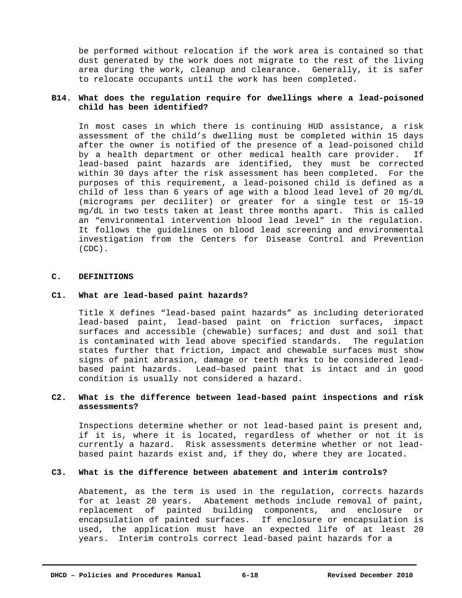be performed without relocation if the work area is contained so that dust generated by the work does not migrate to the rest of the living area during the work, cleanup and clearance. Generally, it is safer to relocate occupants until the work has been completed.

## **B14. What does the regulation require for dwellings where a lead-poisoned child has been identified?**

 In most cases in which there is continuing HUD assistance, a risk assessment of the child's dwelling must be completed within 15 days after the owner is notified of the presence of a lead-poisoned child by a health department or other medical health care provider. If lead-based paint hazards are identified, they must be corrected within 30 days after the risk assessment has been completed. For the purposes of this requirement, a lead-poisoned child is defined as a child of less than 6 years of age with a blood lead level of 20 mg/dL (micrograms per deciliter) or greater for a single test or 15-19 mg/dL in two tests taken at least three months apart. This is called an "environmental intervention blood lead level" in the regulation. It follows the guidelines on blood lead screening and environmental investigation from the Centers for Disease Control and Prevention (CDC).

#### **C. DEFINITIONS**

#### **C1. What are lead-based paint hazards?**

 Title X defines "lead-based paint hazards" as including deteriorated lead-based paint, lead-based paint on friction surfaces, impact surfaces and accessible (chewable) surfaces; and dust and soil that is contaminated with lead above specified standards. The regulation states further that friction, impact and chewable surfaces must show signs of paint abrasion, damage or teeth marks to be considered leadbased paint hazards. Lead–based paint that is intact and in good condition is usually not considered a hazard.

## **C2. What is the difference between lead-based paint inspections and risk assessments?**

 Inspections determine whether or not lead-based paint is present and, if it is, where it is located, regardless of whether or not it is currently a hazard. Risk assessments determine whether or not leadbased paint hazards exist and, if they do, where they are located.

#### **C3. What is the difference between abatement and interim controls?**

 Abatement, as the term is used in the regulation, corrects hazards for at least 20 years. Abatement methods include removal of paint, replacement of painted building components, and enclosure or encapsulation of painted surfaces. If enclosure or encapsulation is used, the application must have an expected life of at least 20 years. Interim controls correct lead-based paint hazards for a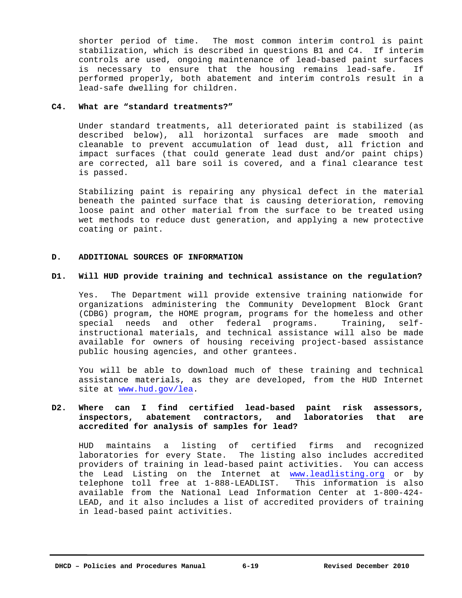shorter period of time. The most common interim control is paint stabilization, which is described in questions B1 and C4. If interim controls are used, ongoing maintenance of lead-based paint surfaces is necessary to ensure that the housing remains lead-safe. If performed properly, both abatement and interim controls result in a lead-safe dwelling for children.

#### **C4. What are "standard treatments?"**

 Under standard treatments, all deteriorated paint is stabilized (as described below), all horizontal surfaces are made smooth and cleanable to prevent accumulation of lead dust, all friction and impact surfaces (that could generate lead dust and/or paint chips) are corrected, all bare soil is covered, and a final clearance test is passed.

 Stabilizing paint is repairing any physical defect in the material beneath the painted surface that is causing deterioration, removing loose paint and other material from the surface to be treated using wet methods to reduce dust generation, and applying a new protective coating or paint.

#### **D. ADDITIONAL SOURCES OF INFORMATION**

#### **D1. Will HUD provide training and technical assistance on the regulation?**

 Yes. The Department will provide extensive training nationwide for organizations administering the Community Development Block Grant (CDBG) program, the HOME program, programs for the homeless and other special needs and other federal programs. Training, selfinstructional materials, and technical assistance will also be made available for owners of housing receiving project-based assistance public housing agencies, and other grantees.

 You will be able to download much of these training and technical assistance materials, as they are developed, from the HUD Internet site at www.hud.gov/lea.

# **D2. Where can I find certified lead-based paint risk assessors, inspectors, abatement contractors, and laboratories that are accredited for analysis of samples for lead?**

 HUD maintains a listing of certified firms and recognized laboratories for every State. The listing also includes accredited providers of training in lead-based paint activities. You can access the Lead Listing on the Internet at www.leadlisting.org or by telephone toll free at 1-888-LEADLIST. This information is also available from the National Lead Information Center at 1-800-424- LEAD, and it also includes a list of accredited providers of training in lead-based paint activities.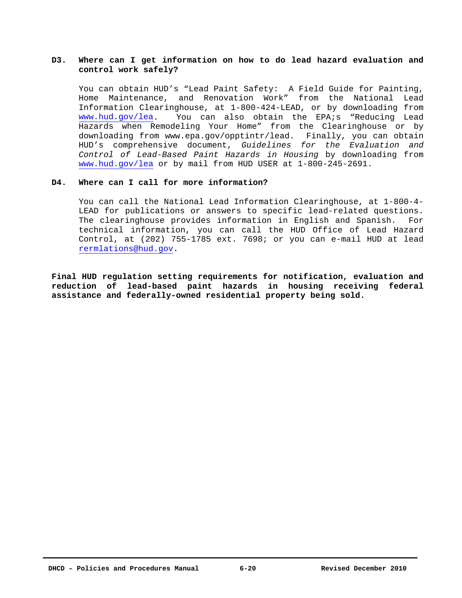# **D3. Where can I get information on how to do lead hazard evaluation and control work safely?**

 You can obtain HUD's "Lead Paint Safety: A Field Guide for Painting, Home Maintenance, and Renovation Work" from the National Lead Information Clearinghouse, at 1-800-424-LEAD, or by downloading from www.hud.gov/lea. You can also obtain the EPA;s "Reducing Lead Hazards when Remodeling Your Home" from the Clearinghouse or by downloading from www.epa.gov/opptintr/lead. Finally, you can obtain HUD's comprehensive document, *Guidelines for the Evaluation and Control of Lead-Based Paint Hazards in Housing* by downloading from www.hud.gov/lea or by mail from HUD USER at 1-800-245-2691.

#### **D4. Where can I call for more information?**

 You can call the National Lead Information Clearinghouse, at 1-800-4- LEAD for publications or answers to specific lead-related questions. The clearinghouse provides information in English and Spanish. For technical information, you can call the HUD Office of Lead Hazard Control, at (202) 755-1785 ext. 7698; or you can e-mail HUD at lead rermlations@hud.gov.

**Final HUD regulation setting requirements for notification, evaluation and reduction of lead-based paint hazards in housing receiving federal assistance and federally-owned residential property being sold.**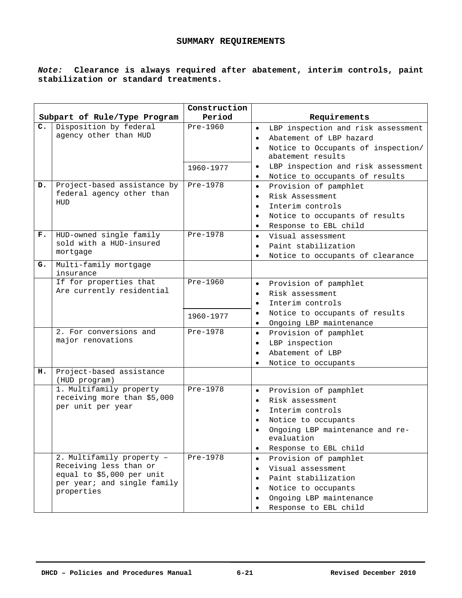## **SUMMARY REQUIREMENTS**

# *Note:* **Clearance is always required after abatement, interim controls, paint stabilization or standard treatments.**

|    |                                                                                                                               | Construction          |                                                                                                                                                                                                                                |
|----|-------------------------------------------------------------------------------------------------------------------------------|-----------------------|--------------------------------------------------------------------------------------------------------------------------------------------------------------------------------------------------------------------------------|
|    | Subpart of Rule/Type Program                                                                                                  | Period                | Requirements                                                                                                                                                                                                                   |
| c. | Disposition by federal<br>agency other than HUD                                                                               | Pre-1960<br>1960-1977 | LBP inspection and risk assessment<br>$\bullet$<br>Abatement of LBP hazard<br>$\bullet$<br>Notice to Occupants of inspection/<br>$\bullet$<br>abatement results<br>LBP inspection and risk assessment<br>$\bullet$             |
|    |                                                                                                                               |                       | Notice to occupants of results<br>$\bullet$                                                                                                                                                                                    |
| D. | Project-based assistance by<br>federal agency other than<br>HUD                                                               | Pre-1978              | Provision of pamphlet<br>$\bullet$<br>Risk Assessment<br>$\bullet$<br>Interim controls<br>$\bullet$<br>Notice to occupants of results<br>Response to EBL child<br>$\bullet$                                                    |
| F. | HUD-owned single family<br>sold with a HUD-insured<br>mortgage                                                                | Pre-1978              | Visual assessment<br>$\bullet$<br>Paint stabilization<br>$\bullet$<br>Notice to occupants of clearance<br>٠                                                                                                                    |
| G. | Multi-family mortgage<br>insurance                                                                                            |                       |                                                                                                                                                                                                                                |
|    | If for properties that<br>Are currently residential                                                                           | Pre-1960<br>1960-1977 | Provision of pamphlet<br>$\bullet$<br>Risk assessment<br>$\bullet$<br>Interim controls<br>$\bullet$<br>Notice to occupants of results<br>$\bullet$                                                                             |
|    | 2. For conversions and<br>major renovations                                                                                   | Pre-1978              | Ongoing LBP maintenance<br>$\bullet$<br>Provision of pamphlet<br>$\bullet$<br>LBP inspection<br>Abatement of LBP<br>Notice to occupants                                                                                        |
| н. | Project-based assistance<br>(HUD program)                                                                                     |                       |                                                                                                                                                                                                                                |
|    | 1. Multifamily property<br>receiving more than \$5,000<br>per unit per year                                                   | Pre-1978              | Provision of pamphlet<br>$\bullet$<br>Risk assessment<br>$\bullet$<br>Interim controls<br>$\bullet$<br>Notice to occupants<br>$\bullet$<br>Ongoing LBP maintenance and re-<br>evaluation<br>Response to EBL child<br>$\bullet$ |
|    | 2. Multifamily property -<br>Receiving less than or<br>equal to \$5,000 per unit<br>per year; and single family<br>properties | Pre-1978              | Provision of pamphlet<br>$\bullet$<br>Visual assessment<br>$\bullet$<br>Paint stabilization<br>Notice to occupants<br>٠<br>Ongoing LBP maintenance<br>Response to EBL child                                                    |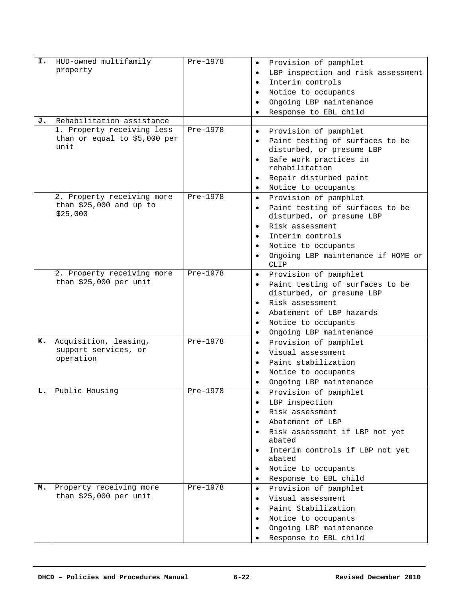| I. | HUD-owned multifamily               | Pre-1978 | Provision of pamphlet<br>$\bullet$                                        |
|----|-------------------------------------|----------|---------------------------------------------------------------------------|
|    | property                            |          | LBP inspection and risk assessment<br>$\bullet$                           |
|    |                                     |          | Interim controls<br>$\bullet$                                             |
|    |                                     |          | Notice to occupants<br>$\bullet$                                          |
|    |                                     |          | Ongoing LBP maintenance<br>$\bullet$                                      |
|    |                                     |          | Response to EBL child                                                     |
| J. | Rehabilitation assistance           |          | $\bullet$                                                                 |
|    | 1. Property receiving less          | Pre-1978 |                                                                           |
|    | than or equal to \$5,000 per        |          | Provision of pamphlet<br>$\bullet$                                        |
|    | unit                                |          | Paint testing of surfaces to be<br>$\bullet$<br>disturbed, or presume LBP |
|    |                                     |          | Safe work practices in<br>$\bullet$<br>rehabilitation                     |
|    |                                     |          | Repair disturbed paint<br>$\bullet$                                       |
|    |                                     |          | Notice to occupants<br>$\bullet$                                          |
|    | 2. Property receiving more          | Pre-1978 | Provision of pamphlet<br>$\bullet$                                        |
|    | than \$25,000 and up to<br>\$25,000 |          | Paint testing of surfaces to be<br>$\bullet$<br>disturbed, or presume LBP |
|    |                                     |          | Risk assessment<br>$\bullet$                                              |
|    |                                     |          | Interim controls<br>$\bullet$                                             |
|    |                                     |          | Notice to occupants<br>$\bullet$                                          |
|    |                                     |          | Ongoing LBP maintenance if HOME or<br>$\bullet$                           |
|    |                                     |          | <b>CLIP</b>                                                               |
|    | 2. Property receiving more          | Pre-1978 | Provision of pamphlet<br>$\bullet$                                        |
|    | than \$25,000 per unit              |          | Paint testing of surfaces to be<br>$\bullet$<br>disturbed, or presume LBP |
|    |                                     |          | Risk assessment<br>$\bullet$                                              |
|    |                                     |          | Abatement of LBP hazards<br>$\bullet$                                     |
|    |                                     |          | Notice to occupants<br>$\bullet$                                          |
|    |                                     |          | Ongoing LBP maintenance<br>$\bullet$                                      |
| к. | Acquisition, leasing,               | Pre-1978 | Provision of pamphlet<br>$\bullet$                                        |
|    | support services, or                |          | Visual assessment<br>$\bullet$                                            |
|    | operation                           |          | Paint stabilization<br>$\bullet$                                          |
|    |                                     |          | Notice to occupants<br>$\bullet$                                          |
|    |                                     |          | Ongoing LBP maintenance<br>$\bullet$                                      |
| L. | Public Housing                      | Pre-1978 | Provision of pamphlet<br>$\bullet$                                        |
|    |                                     |          | LBP inspection<br>$\bullet$                                               |
|    |                                     |          | Risk assessment<br>$\bullet$                                              |
|    |                                     |          | Abatement of LBP                                                          |
|    |                                     |          | $\bullet$                                                                 |
|    |                                     |          | Risk assessment if LBP not yet<br>abated                                  |
|    |                                     |          | Interim controls if LBP not yet<br>$\bullet$<br>abated                    |
|    |                                     |          | Notice to occupants<br>$\bullet$                                          |
|    |                                     |          | Response to EBL child<br>$\bullet$                                        |
| м. | Property receiving more             | Pre-1978 | Provision of pamphlet<br>$\bullet$                                        |
|    | than \$25,000 per unit              |          | Visual assessment<br>$\bullet$                                            |
|    |                                     |          | Paint Stabilization<br>$\bullet$                                          |
|    |                                     |          | Notice to occupants<br>$\bullet$                                          |
|    |                                     |          | Ongoing LBP maintenance<br>$\bullet$                                      |
|    |                                     |          | Response to EBL child                                                     |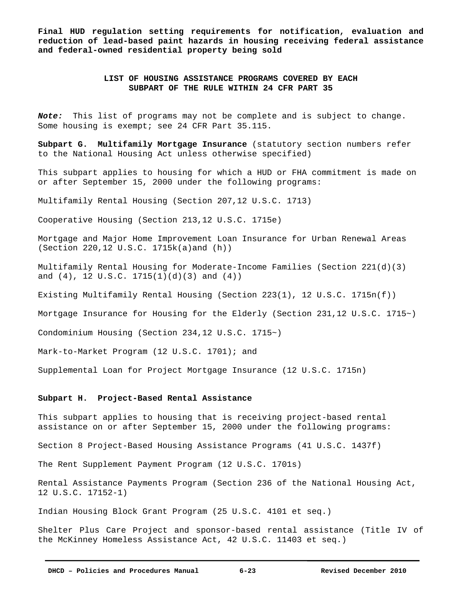**Final HUD regulation setting requirements for notification, evaluation and reduction of lead-based paint hazards in housing receiving federal assistance and federal-owned residential property being sold** 

# **LIST OF HOUSING ASSISTANCE PROGRAMS COVERED BY EACH SUBPART OF THE RULE WITHIN 24 CFR PART 35**

*Note:*This list of programs may not be complete and is subject to change. Some housing is exempt; see 24 CFR Part 35.115.

**Subpart G. Multifamily Mortgage Insurance** (statutory section numbers refer to the National Housing Act unless otherwise specified)

This subpart applies to housing for which a HUD or FHA commitment is made on or after September 15, 2000 under the following programs:

Multifamily Rental Housing (Section 207,12 U.S.C. 1713)

Cooperative Housing (Section 213,12 U.S.C. 1715e)

Mortgage and Major Home Improvement Loan Insurance for Urban Renewal Areas (Section 220,12 U.S.C. 1715k(a)and (h))

Multifamily Rental Housing for Moderate-Income Families (Section 221(d)(3) and  $(4)$ , 12 U.S.C. 1715 $(1)(d)(3)$  and  $(4)$ )

Existing Multifamily Rental Housing (Section 223(1), 12 U.S.C. 1715n(f))

Mortgage Insurance for Housing for the Elderly (Section 231,12 U.S.C. 1715~)

Condominium Housing (Section 234,12 U.S.C. 1715~)

Mark-to-Market Program (12 U.S.C. 1701); and

Supplemental Loan for Project Mortgage Insurance (12 U.S.C. 1715n)

#### **Subpart H. Project-Based Rental Assistance**

This subpart applies to housing that is receiving project-based rental assistance on or after September 15, 2000 under the following programs:

Section 8 Project-Based Housing Assistance Programs (41 U.S.C. 1437f)

The Rent Supplement Payment Program (12 U.S.C. 1701s)

Rental Assistance Payments Program (Section 236 of the National Housing Act, 12 U.S.C. 17152-1)

Indian Housing Block Grant Program (25 U.S.C. 4101 et seq.)

Shelter Plus Care Project and sponsor-based rental assistance (Title IV of the McKinney Homeless Assistance Act, 42 U.S.C. 11403 et seq.)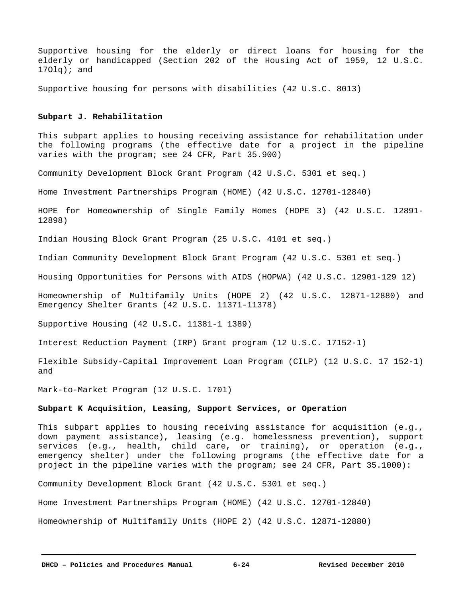Supportive housing for the elderly or direct loans for housing for the elderly or handicapped (Section 202 of the Housing Act of 1959, 12 U.S.C.  $170lq$ ; and

Supportive housing for persons with disabilities (42 U.S.C. 8013)

#### **Subpart J. Rehabilitation**

This subpart applies to housing receiving assistance for rehabilitation under the following programs (the effective date for a project in the pipeline varies with the program; see 24 CFR, Part 35.900)

Community Development Block Grant Program (42 U.S.C. 5301 et seq.)

Home Investment Partnerships Program (HOME) (42 U.S.C. 12701-12840)

HOPE for Homeownership of Single Family Homes (HOPE 3) (42 U.S.C. 12891- 12898)

Indian Housing Block Grant Program (25 U.S.C. 4101 et seq.)

Indian Community Development Block Grant Program (42 U.S.C. 5301 et seq.)

Housing Opportunities for Persons with AIDS (HOPWA) (42 U.S.C. 12901-129 12)

Homeownership of Multifamily Units (HOPE 2) (42 U.S.C. 12871-12880) and Emergency Shelter Grants (42 U.S.C. 11371-11378)

Supportive Housing (42 U.S.C. 11381-1 1389)

Interest Reduction Payment (IRP) Grant program (12 U.S.C. 17152-1)

Flexible Subsidy-Capital Improvement Loan Program (CILP) (12 U.S.C. 17 152-1) and

Mark-to-Market Program (12 U.S.C. 1701)

#### **Subpart K Acquisition, Leasing, Support Services, or Operation**

This subpart applies to housing receiving assistance for acquisition (e.g., down payment assistance), leasing (e.g. homelessness prevention), support services (e.g., health, child care, or training), or operation (e.g., emergency shelter) under the following programs (the effective date for a project in the pipeline varies with the program; see 24 CFR, Part 35.1000):

Community Development Block Grant (42 U.S.C. 5301 et seq.)

Home Investment Partnerships Program (HOME) (42 U.S.C. 12701-12840)

Homeownership of Multifamily Units (HOPE 2) (42 U.S.C. 12871-12880)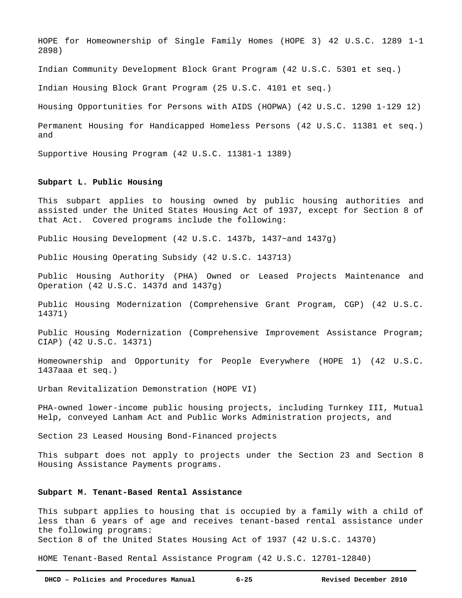HOPE for Homeownership of Single Family Homes (HOPE 3) 42 U.S.C. 1289 1-1 2898)

Indian Community Development Block Grant Program (42 U.S.C. 5301 et seq.)

Indian Housing Block Grant Program (25 U.S.C. 4101 et seq.)

Housing Opportunities for Persons with AIDS (HOPWA) (42 U.S.C. 1290 1-129 12)

Permanent Housing for Handicapped Homeless Persons (42 U.S.C. 11381 et seq.) and

Supportive Housing Program (42 U.S.C. 11381-1 1389)

#### **Subpart L. Public Housing**

This subpart applies to housing owned by public housing authorities and assisted under the United States Housing Act of 1937, except for Section 8 of that Act. Covered programs include the following:

Public Housing Development (42 U.S.C. 1437b, 1437~and 1437g)

Public Housing Operating Subsidy (42 U.S.C. 143713)

Public Housing Authority (PHA) Owned or Leased Projects Maintenance and Operation (42 U.S.C. 1437d and 1437g)

Public Housing Modernization (Comprehensive Grant Program, CGP) (42 U.S.C. 14371)

Public Housing Modernization (Comprehensive Improvement Assistance Program; CIAP) (42 U.S.C. 14371)

Homeownership and Opportunity for People Everywhere (HOPE 1) (42 U.S.C. 1437aaa et seq.)

Urban Revitalization Demonstration (HOPE VI)

PHA-owned lower-income public housing projects, including Turnkey III, Mutual Help, conveyed Lanham Act and Public Works Administration projects, and

Section 23 Leased Housing Bond-Financed projects

This subpart does not apply to projects under the Section 23 and Section 8 Housing Assistance Payments programs.

#### **Subpart M. Tenant-Based Rental Assistance**

This subpart applies to housing that is occupied by a family with a child of less than 6 years of age and receives tenant-based rental assistance under the following programs:

Section 8 of the United States Housing Act of 1937 (42 U.S.C. 14370)

HOME Tenant-Based Rental Assistance Program (42 U.S.C. 12701-12840)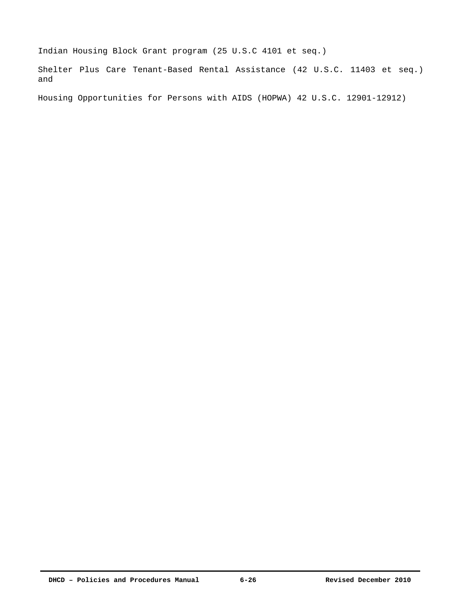Indian Housing Block Grant program (25 U.S.C 4101 et seq.)

Shelter Plus Care Tenant-Based Rental Assistance (42 U.S.C. 11403 et seq.) and

Housing Opportunities for Persons with AIDS (HOPWA) 42 U.S.C. 12901-12912)